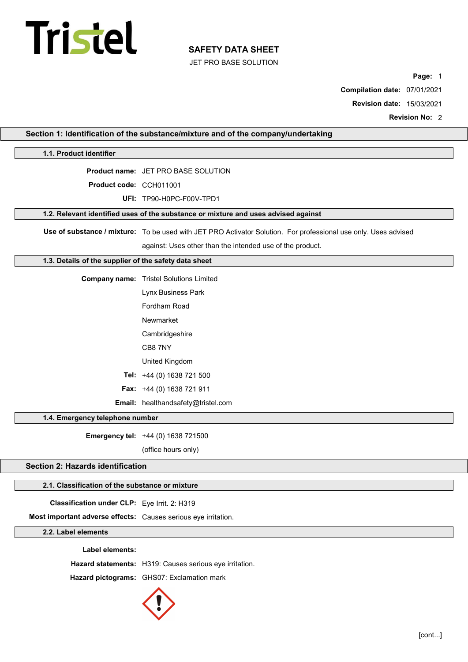# Tristel

# SAFETY DATA SHEET

JET PRO BASE SOLUTION

Page: 1

Compilation date: 07/01/2021

Revision date: 15/03/2021

Revision No: 2

|                                                                | Section 1: Identification of the substance/mixture and of the company/undertaking                               |
|----------------------------------------------------------------|-----------------------------------------------------------------------------------------------------------------|
| 1.1. Product identifier                                        |                                                                                                                 |
|                                                                | <b>Product name: JET PRO BASE SOLUTION</b>                                                                      |
| Product code: CCH011001                                        |                                                                                                                 |
|                                                                | UFI: TP90-H0PC-F00V-TPD1                                                                                        |
|                                                                | 1.2. Relevant identified uses of the substance or mixture and uses advised against                              |
|                                                                | Use of substance / mixture: To be used with JET PRO Activator Solution. For professional use only. Uses advised |
|                                                                | against: Uses other than the intended use of the product.                                                       |
| 1.3. Details of the supplier of the safety data sheet          |                                                                                                                 |
|                                                                | <b>Company name:</b> Tristel Solutions Limited                                                                  |
|                                                                | Lynx Business Park                                                                                              |
|                                                                | Fordham Road                                                                                                    |
|                                                                | Newmarket                                                                                                       |
|                                                                | Cambridgeshire                                                                                                  |
|                                                                | CB8 7NY                                                                                                         |
|                                                                | United Kingdom                                                                                                  |
|                                                                | Tel: +44 (0) 1638 721 500                                                                                       |
|                                                                | Fax: +44 (0) 1638 721 911                                                                                       |
|                                                                | Email: healthandsafety@tristel.com                                                                              |
| 1.4. Emergency telephone number                                |                                                                                                                 |
|                                                                | Emergency tel: +44 (0) 1638 721500                                                                              |
|                                                                | (office hours only)                                                                                             |
| Section 2: Hazards identification                              |                                                                                                                 |
| 2.1. Classification of the substance or mixture                |                                                                                                                 |
| Classification under CLP: Eye Irrit. 2: H319                   |                                                                                                                 |
| Most important adverse effects: Causes serious eye irritation. |                                                                                                                 |
| 2.2. Label elements                                            |                                                                                                                 |
| Label elements:                                                |                                                                                                                 |
|                                                                | Hazard statements: H319: Causes serious eye irritation.                                                         |
|                                                                | Hazard pictograms: GHS07: Exclamation mark                                                                      |
|                                                                |                                                                                                                 |

 $\mathbf{J}$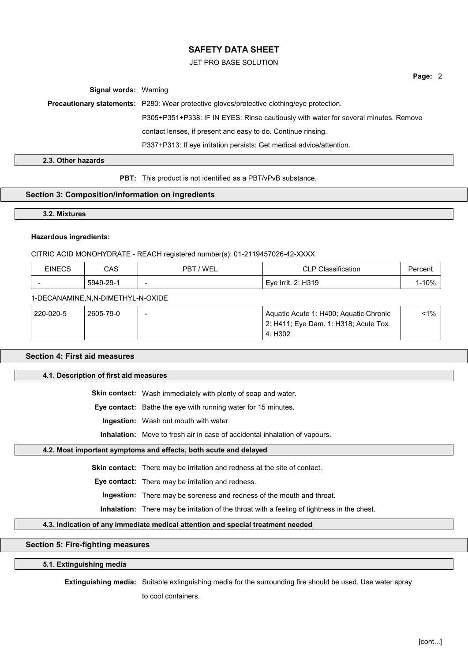# JET PRO BASE SOLUTION

Page: 2

Signal words: Warning

Precautionary statements: P280: Wear protective gloves/protective clothing/eye protection.

P305+P351+P338: IF IN EYES: Rinse cautiously with water for several minutes. Remove

contact lenses, if present and easy to do. Continue rinsing.

P337+P313: If eye irritation persists: Get medical advice/attention.

2.3. Other hazards

**PBT:** This product is not identified as a PBT/vPvB substance.

# Section 3: Composition/information on ingredients

3.2. Mixtures

# Hazardous ingredients:

# CITRIC ACID MONOHYDRATE - REACH registered number(s): 01-2119457026-42-XXXX

| EINECS | CAS       | ' WEL<br>PB.             | <b>assification</b><br>$\cap$ $\cap$ $\cap$<br>ᅩ | Percent |
|--------|-----------|--------------------------|--------------------------------------------------|---------|
|        | 5949-29-1 | $\overline{\phantom{a}}$ | Eye Irrit. 2: H319                               | 1-10%   |

## 1-DECANAMINE,N,N-DIMETHYL-N-OXIDE

| 220-020-5 | 2605-79-0 | $\overline{\phantom{a}}$ | Aquatic Acute 1: H400; Aquatic Chronic | $1\%$ |
|-----------|-----------|--------------------------|----------------------------------------|-------|
|           |           |                          | 2: H411; Eye Dam. 1: H318; Acute Tox.  |       |
|           |           |                          | 4: H302                                |       |

# Section 4: First aid measures

# 4.1. Description of first aid measures

Skin contact: Wash immediately with plenty of soap and water.

Eye contact: Bathe the eye with running water for 15 minutes.

Ingestion: Wash out mouth with water.

Inhalation: Move to fresh air in case of accidental inhalation of vapours.

# 4.2. Most important symptoms and effects, both acute and delayed

Skin contact: There may be irritation and redness at the site of contact.

Eye contact: There may be irritation and redness.

Ingestion: There may be soreness and redness of the mouth and throat.

Inhalation: There may be irritation of the throat with a feeling of tightness in the chest.

# 4.3. Indication of any immediate medical attention and special treatment needed

# Section 5: Fire-fighting measures

# 5.1. Extinguishing media

Extinguishing media: Suitable extinguishing media for the surrounding fire should be used. Use water spray

to cool containers.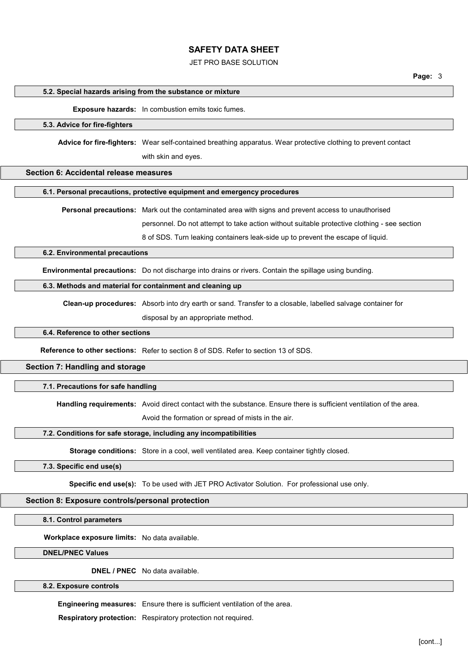# JET PRO BASE SOLUTION

#### 5.2. Special hazards arising from the substance or mixture

Exposure hazards: In combustion emits toxic fumes.

# 5.3. Advice for fire-fighters

Advice for fire-fighters: Wear self-contained breathing apparatus. Wear protective clothing to prevent contact

with skin and eyes.

# Section 6: Accidental release measures

#### 6.1. Personal precautions, protective equipment and emergency procedures

Personal precautions: Mark out the contaminated area with signs and prevent access to unauthorised

personnel. Do not attempt to take action without suitable protective clothing - see section

8 of SDS. Turn leaking containers leak-side up to prevent the escape of liquid.

# 6.2. Environmental precautions

Environmental precautions: Do not discharge into drains or rivers. Contain the spillage using bunding.

#### 6.3. Methods and material for containment and cleaning up

Clean-up procedures: Absorb into dry earth or sand. Transfer to a closable, labelled salvage container for disposal by an appropriate method.

#### 6.4. Reference to other sections

Reference to other sections: Refer to section 8 of SDS. Refer to section 13 of SDS.

# Section 7: Handling and storage

# 7.1. Precautions for safe handling

Handling requirements: Avoid direct contact with the substance. Ensure there is sufficient ventilation of the area.

Avoid the formation or spread of mists in the air.

# 7.2. Conditions for safe storage, including any incompatibilities

Storage conditions: Store in a cool, well ventilated area. Keep container tightly closed.

# 7.3. Specific end use(s)

Specific end use(s): To be used with JET PRO Activator Solution. For professional use only.

#### Section 8: Exposure controls/personal protection

8.1. Control parameters

Workplace exposure limits: No data available.

DNEL/PNEC Values

DNEL / PNEC No data available.

8.2. Exposure controls

Engineering measures: Ensure there is sufficient ventilation of the area.

Respiratory protection: Respiratory protection not required.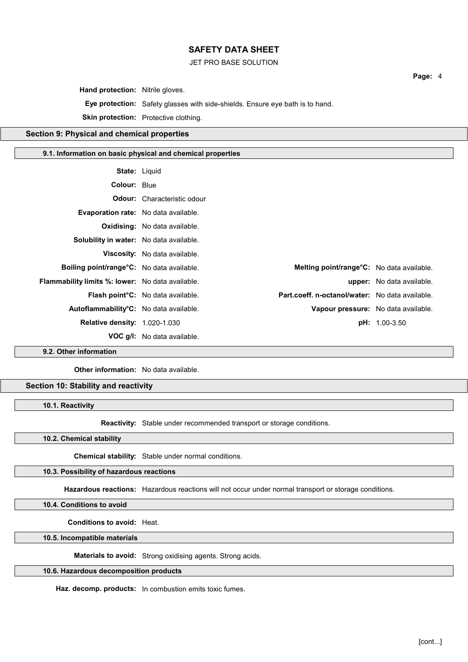# JET PRO BASE SOLUTION

Hand protection: Nitrile gloves.

Eye protection: Safety glasses with side-shields. Ensure eye bath is to hand.

Skin protection: Protective clothing.

# Section 9: Physical and chemical properties

#### 9.1. Information on basic physical and chemical properties

|                                                             | <b>State: Liquid</b>                                                                         |                                     |
|-------------------------------------------------------------|----------------------------------------------------------------------------------------------|-------------------------------------|
| <b>Colour: Blue</b>                                         |                                                                                              |                                     |
|                                                             | <b>Odour:</b> Characteristic odour                                                           |                                     |
| <b>Evaporation rate:</b> No data available.                 |                                                                                              |                                     |
|                                                             | <b>Oxidising:</b> No data available.                                                         |                                     |
| <b>Solubility in water:</b> No data available.              |                                                                                              |                                     |
|                                                             | <b>Viscosity:</b> No data available.                                                         |                                     |
| <b>Boiling point/range<sup>o</sup>C:</b> No data available. | <b>Melting point/range<sup>o</sup>C:</b> No data available.                                  |                                     |
| <b>Flammability limits %: lower:</b> No data available.     |                                                                                              | <b>upper:</b> No data available.    |
|                                                             | Part.coeff. n-octanol/water: No data available.<br><b>Flash point °C:</b> No data available. |                                     |
| Autoflammability°C: No data available.                      |                                                                                              | Vapour pressure: No data available. |
| <b>Relative density: 1.020-1.030</b>                        |                                                                                              | <b>pH:</b> 1.00-3.50                |
|                                                             | <b>VOC g/l:</b> No data available.                                                           |                                     |

9.2. Other information

Other information: No data available.

# Section 10: Stability and reactivity

10.1. Reactivity

Reactivity: Stable under recommended transport or storage conditions.

10.2. Chemical stability

Chemical stability: Stable under normal conditions.

# 10.3. Possibility of hazardous reactions

Hazardous reactions: Hazardous reactions will not occur under normal transport or storage conditions.

10.4. Conditions to avoid

Conditions to avoid: Heat.

10.5. Incompatible materials

Materials to avoid: Strong oxidising agents. Strong acids.

# 10.6. Hazardous decomposition products

Haz. decomp. products: In combustion emits toxic fumes.

Page: 4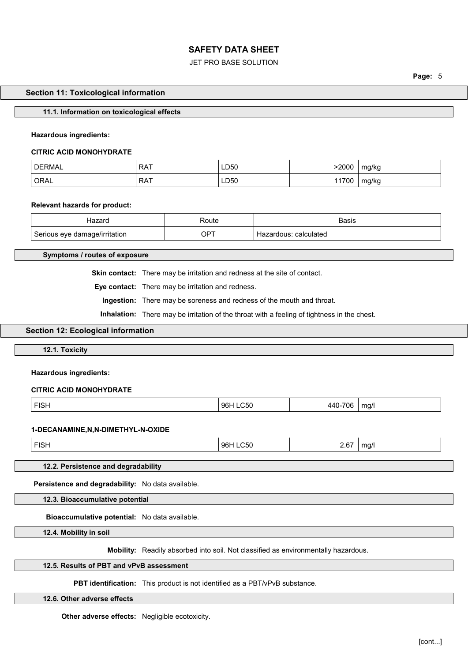# JET PRO BASE SOLUTION

Page: 5

#### Section 11: Toxicological information

## 11.1. Information on toxicological effects

#### Hazardous ingredients:

#### CITRIC ACID MONOHYDRATE

| <b>DERMAL</b> | <b>RAT</b> | LD50 | 2000' | mg/kg |
|---------------|------------|------|-------|-------|
| ORAL          | <b>RAT</b> | LD50 | 11700 | mg/kg |

# Relevant hazards for product:

| Hazard                        | ⊀oute       | Basıs                    |
|-------------------------------|-------------|--------------------------|
| Serious eye damage/irritation | $OP^{\tau}$ | calculated<br>Hazardous: |

Symptoms / routes of exposure

Skin contact: There may be irritation and redness at the site of contact.

Eye contact: There may be irritation and redness.

Ingestion: There may be soreness and redness of the mouth and throat.

Inhalation: There may be irritation of the throat with a feeling of tightness in the chest.

# Section 12: Ecological information

12.1. Toxicity

#### Hazardous ingredients:

# CITRIC ACID MONOHYDRATE

| <b>FIQ1</b><br>FIOL. | <b>OEO</b><br>961<br>$\sim$<br>.UJU<br>$\sim$ $\sim$ $\sim$ $\sim$ $\sim$ | $ -$<br>706<br>л л '<br>the contract of the contract of the contract of the contract of the contract of | mg/l<br>. . |
|----------------------|---------------------------------------------------------------------------|---------------------------------------------------------------------------------------------------------|-------------|
|----------------------|---------------------------------------------------------------------------|---------------------------------------------------------------------------------------------------------|-------------|

#### 1-DECANAMINE,N,N-DIMETHYL-N-OXIDE

| <b>FIQI</b><br>67<br>96 P<br>ma/<br>ำ∽เ∣<br>гіэн<br>Z.V<br>.<br>. |
|-------------------------------------------------------------------|
|-------------------------------------------------------------------|

# 12.2. Persistence and degradability

Persistence and degradability: No data available.

12.3. Bioaccumulative potential

Bioaccumulative potential: No data available.

12.4. Mobility in soil

Mobility: Readily absorbed into soil. Not classified as environmentally hazardous.

# 12.5. Results of PBT and vPvB assessment

PBT identification: This product is not identified as a PBT/vPvB substance.

12.6. Other adverse effects

Other adverse effects: Negligible ecotoxicity.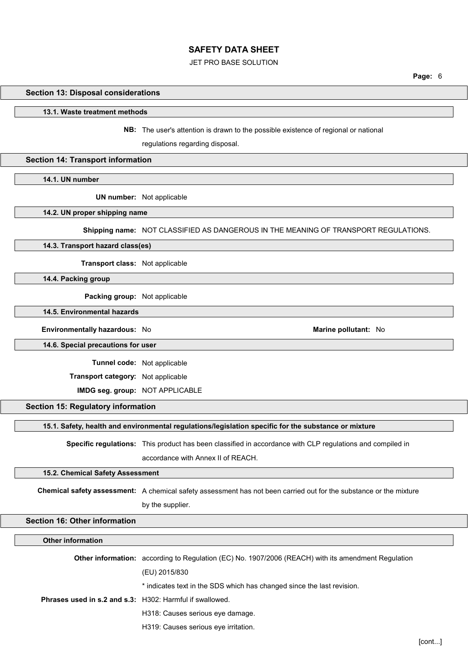# JET PRO BASE SOLUTION

Page: 6

#### Section 13: Disposal considerations

#### 13.1. Waste treatment methods

NB: The user's attention is drawn to the possible existence of regional or national

regulations regarding disposal.

# Section 14: Transport information

14.1. UN number

UN number: Not applicable

# 14.2. UN proper shipping name

Shipping name: NOT CLASSIFIED AS DANGEROUS IN THE MEANING OF TRANSPORT REGULATIONS.

# 14.3. Transport hazard class(es)

Transport class: Not applicable

14.4. Packing group

Packing group: Not applicable

14.5. Environmental hazards

Environmentally hazardous: No and a series of the Marine pollutant: No analysis of the Marine pollutant: No

14.6. Special precautions for user

Tunnel code: Not applicable

Transport category: Not applicable

IMDG seg. group: NOT APPLICABLE

#### Section 15: Regulatory information

15.1. Safety, health and environmental regulations/legislation specific for the substance or mixture

Specific regulations: This product has been classified in accordance with CLP regulations and compiled in accordance with Annex II of REACH.

# 15.2. Chemical Safety Assessment

Chemical safety assessment: A chemical safety assessment has not been carried out for the substance or the mixture by the supplier.

#### Section 16: Other information

# Other information Other information: according to Regulation (EC) No. 1907/2006 (REACH) with its amendment Regulation (EU) 2015/830 \* indicates text in the SDS which has changed since the last revision. Phrases used in s.2 and s.3: H302: Harmful if swallowed. H318: Causes serious eye damage. H319: Causes serious eye irritation.